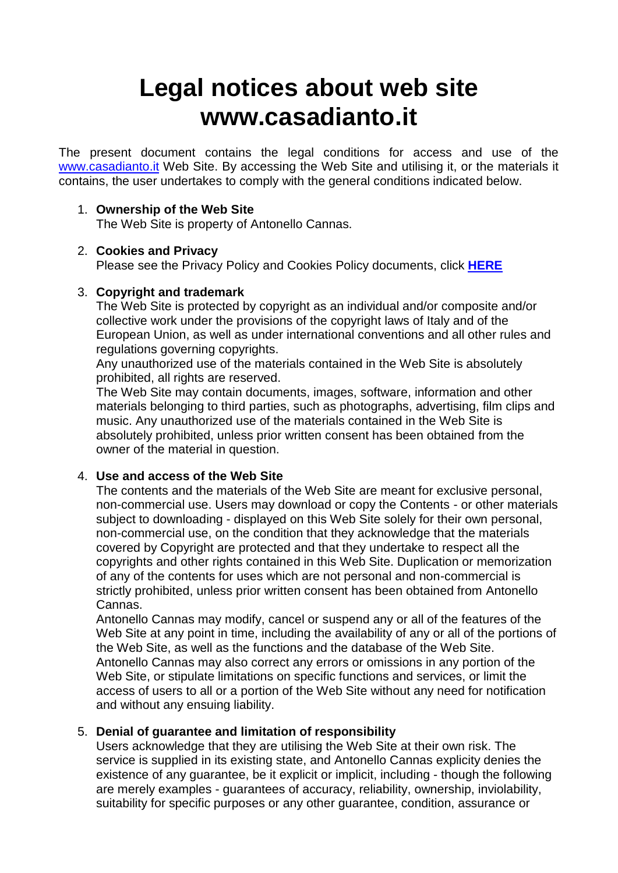# **Legal notices about web site www.casadianto.it**

The present document contains the legal conditions for access and use of the [www.casadianto.it](http://www.cannasaus.it/) Web Site. By accessing the Web Site and utilising it, or the materials it contains, the user undertakes to comply with the general conditions indicated below.

## 1. **Ownership of the Web Site**

The Web Site is property of Antonello Cannas.

## 2. **Cookies and Privacy**

Please see the Privacy Policy and Cookies Policy documents, click **[HERE](http://www.casadianto.it/legal.html)**

## 3. **Copyright and trademark**

The Web Site is protected by copyright as an individual and/or composite and/or collective work under the provisions of the copyright laws of Italy and of the European Union, as well as under international conventions and all other rules and regulations governing copyrights.

Any unauthorized use of the materials contained in the Web Site is absolutely prohibited, all rights are reserved.

The Web Site may contain documents, images, software, information and other materials belonging to third parties, such as photographs, advertising, film clips and music. Any unauthorized use of the materials contained in the Web Site is absolutely prohibited, unless prior written consent has been obtained from the owner of the material in question.

# 4. **Use and access of the Web Site**

The contents and the materials of the Web Site are meant for exclusive personal, non-commercial use. Users may download or copy the Contents - or other materials subject to downloading - displayed on this Web Site solely for their own personal, non-commercial use, on the condition that they acknowledge that the materials covered by Copyright are protected and that they undertake to respect all the copyrights and other rights contained in this Web Site. Duplication or memorization of any of the contents for uses which are not personal and non-commercial is strictly prohibited, unless prior written consent has been obtained from Antonello Cannas.

Antonello Cannas may modify, cancel or suspend any or all of the features of the Web Site at any point in time, including the availability of any or all of the portions of the Web Site, as well as the functions and the database of the Web Site. Antonello Cannas may also correct any errors or omissions in any portion of the Web Site, or stipulate limitations on specific functions and services, or limit the access of users to all or a portion of the Web Site without any need for notification and without any ensuing liability.

# 5. **Denial of guarantee and limitation of responsibility**

Users acknowledge that they are utilising the Web Site at their own risk. The service is supplied in its existing state, and Antonello Cannas explicity denies the existence of any guarantee, be it explicit or implicit, including - though the following are merely examples - guarantees of accuracy, reliability, ownership, inviolability, suitability for specific purposes or any other guarantee, condition, assurance or